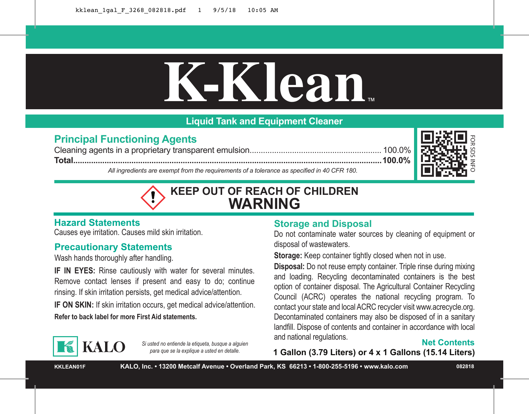

### **Liquid Tank and Equipment Cleaner**

# **Principal Functioning Agents**

Cleaning agents in a proprietary transparent emulsion........................................................... 100.0% **Total..........................................................................................................................................100.0%**



FOR SDS INFO

*All ingredients are exempt from the requirements of a tolerance as specified in 40 CFR 180.*



#### **Hazard Statements**

Causes eye irritation. Causes mild skin irritation.

### **Precautionary Statements**

Wash hands thoroughly after handling.

**IF IN EYES:** Rinse cautiously with water for several minutes. Remove contact lenses if present and easy to do; continue rinsing. If skin irritation persists, get medical advice/attention.

**IF ON SKIN:** If skin irritation occurs, get medical advice/attention. **Refer to back label for more First Aid statements.**

### **Storage and Disposal**

Do not contaminate water sources by cleaning of equipment or disposal of wastewaters.

**Storage:** Keep container tightly closed when not in use.

**Disposal:** Do not reuse empty container. Triple rinse during mixing and loading. Recycling decontaminated containers is the best option of container disposal. The Agricultural Container Recycling Council (ACRC) operates the national recycling program. To contact your state and local ACRC recycler visit www.acrecycle.org. Decontaminated containers may also be disposed of in a sanitary landfill. Dispose of contents and container in accordance with local and national regulations.

#### **Net Contents**

**1 Gallon (3.79 Liters) or 4 x 1 Gallons (15.14 Liters)**



*Si usted no entiende la etiqueta, busque a alguien para que se la explique a usted en detalle.*

**KKLEAN01F KALO, Inc. • 13200 Metcalf Avenue • Overland Park, KS 66213 • 1-800-255-5196 • www.kalo.com 082818**